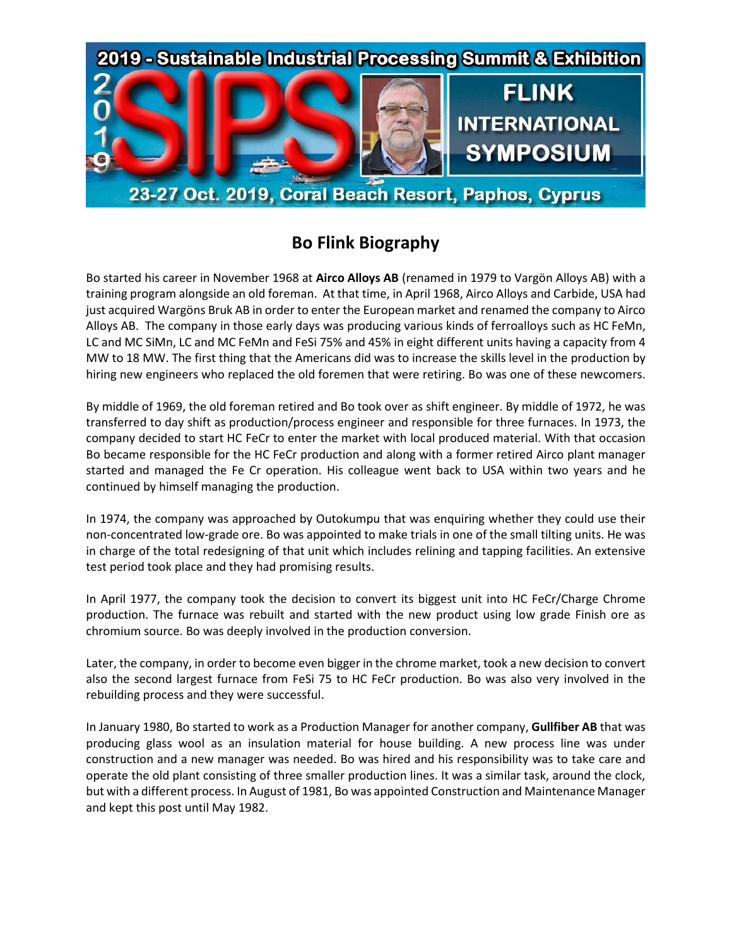

## **Bo Flink Biography**

Bo started his career in November 1968 at **Airco Alloys AB** (renamed in 1979 to Vargön Alloys AB) with a training program alongside an old foreman. At that time, in April 1968, Airco Alloys and Carbide, USA had just acquired Wargöns Bruk AB in order to enter the European market and renamed the company to Airco Alloys AB. The company in those early days was producing various kinds of ferroalloys such as HC FeMn, LC and MC SiMn, LC and MC FeMn and FeSi 75% and 45% in eight different units having a capacity from 4 MW to 18 MW. The first thing that the Americans did was to increase the skills level in the production by hiring new engineers who replaced the old foremen that were retiring. Bo was one of these newcomers.

By middle of 1969, the old foreman retired and Bo took over as shift engineer. By middle of 1972, he was transferred to day shift as production/process engineer and responsible for three furnaces. In 1973, the company decided to start HC FeCr to enter the market with local produced material. With that occasion Bo became responsible for the HC FeCr production and along with a former retired Airco plant manager started and managed the Fe Cr operation. His colleague went back to USA within two years and he continued by himself managing the production.

In 1974, the company was approached by Outokumpu that was enquiring whether they could use their non-concentrated low-grade ore. Bo was appointed to make trials in one of the small tilting units. He was in charge of the total redesigning of that unit which includes relining and tapping facilities. An extensive test period took place and they had promising results.

In April 1977, the company took the decision to convert its biggest unit into HC FeCr/Charge Chrome production. The furnace was rebuilt and started with the new product using low grade Finish ore as chromium source. Bo was deeply involved in the production conversion.

Later, the company, in order to become even bigger in the chrome market, took a new decision to convert also the second largest furnace from FeSi 75 to HC FeCr production. Bo was also very involved in the rebuilding process and they were successful.

In January 1980, Bo started to work as a Production Manager for another company, **Gullfiber AB** that was producing glass wool as an insulation material for house building. A new process line was under construction and a new manager was needed. Bo was hired and his responsibility was to take care and operate the old plant consisting of three smaller production lines. It was a similar task, around the clock, but with a different process. In August of 1981, Bo was appointed Construction and Maintenance Manager and kept this post until May 1982.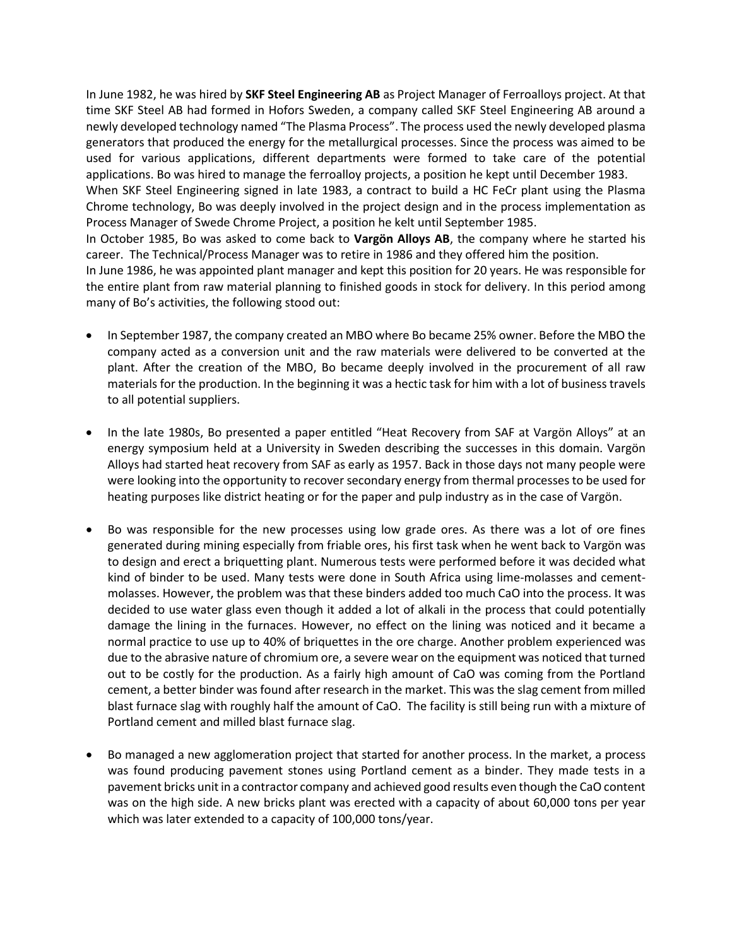In June 1982, he was hired by **SKF Steel Engineering AB** as Project Manager of Ferroalloys project. At that time SKF Steel AB had formed in Hofors Sweden, a company called SKF Steel Engineering AB around a newly developed technology named "The Plasma Process". The process used the newly developed plasma generators that produced the energy for the metallurgical processes. Since the process was aimed to be used for various applications, different departments were formed to take care of the potential applications. Bo was hired to manage the ferroalloy projects, a position he kept until December 1983. When SKF Steel Engineering signed in late 1983, a contract to build a HC FeCr plant using the Plasma Chrome technology, Bo was deeply involved in the project design and in the process implementation as Process Manager of Swede Chrome Project, a position he kelt until September 1985. In October 1985, Bo was asked to come back to **Vargön Alloys AB**, the company where he started his career. The Technical/Process Manager was to retire in 1986 and they offered him the position.

In June 1986, he was appointed plant manager and kept this position for 20 years. He was responsible for the entire plant from raw material planning to finished goods in stock for delivery. In this period among many of Bo's activities, the following stood out:

- In September 1987, the company created an MBO where Bo became 25% owner. Before the MBO the company acted as a conversion unit and the raw materials were delivered to be converted at the plant. After the creation of the MBO, Bo became deeply involved in the procurement of all raw materials for the production. In the beginning it was a hectic task for him with a lot of business travels to all potential suppliers.
- In the late 1980s, Bo presented a paper entitled "Heat Recovery from SAF at Vargön Alloys" at an energy symposium held at a University in Sweden describing the successes in this domain. Vargön Alloys had started heat recovery from SAF as early as 1957. Back in those days not many people were were looking into the opportunity to recover secondary energy from thermal processes to be used for heating purposes like district heating or for the paper and pulp industry as in the case of Vargön.
- Bo was responsible for the new processes using low grade ores. As there was a lot of ore fines generated during mining especially from friable ores, his first task when he went back to Vargön was to design and erect a briquetting plant. Numerous tests were performed before it was decided what kind of binder to be used. Many tests were done in South Africa using lime-molasses and cementmolasses. However, the problem was that these binders added too much CaO into the process. It was decided to use water glass even though it added a lot of alkali in the process that could potentially damage the lining in the furnaces. However, no effect on the lining was noticed and it became a normal practice to use up to 40% of briquettes in the ore charge. Another problem experienced was due to the abrasive nature of chromium ore, a severe wear on the equipment was noticed that turned out to be costly for the production. As a fairly high amount of CaO was coming from the Portland cement, a better binder was found after research in the market. This was the slag cement from milled blast furnace slag with roughly half the amount of CaO. The facility is still being run with a mixture of Portland cement and milled blast furnace slag.
- Bo managed a new agglomeration project that started for another process. In the market, a process was found producing pavement stones using Portland cement as a binder. They made tests in a pavement bricks unit in a contractor company and achieved good results even though the CaO content was on the high side. A new bricks plant was erected with a capacity of about 60,000 tons per year which was later extended to a capacity of 100,000 tons/year.